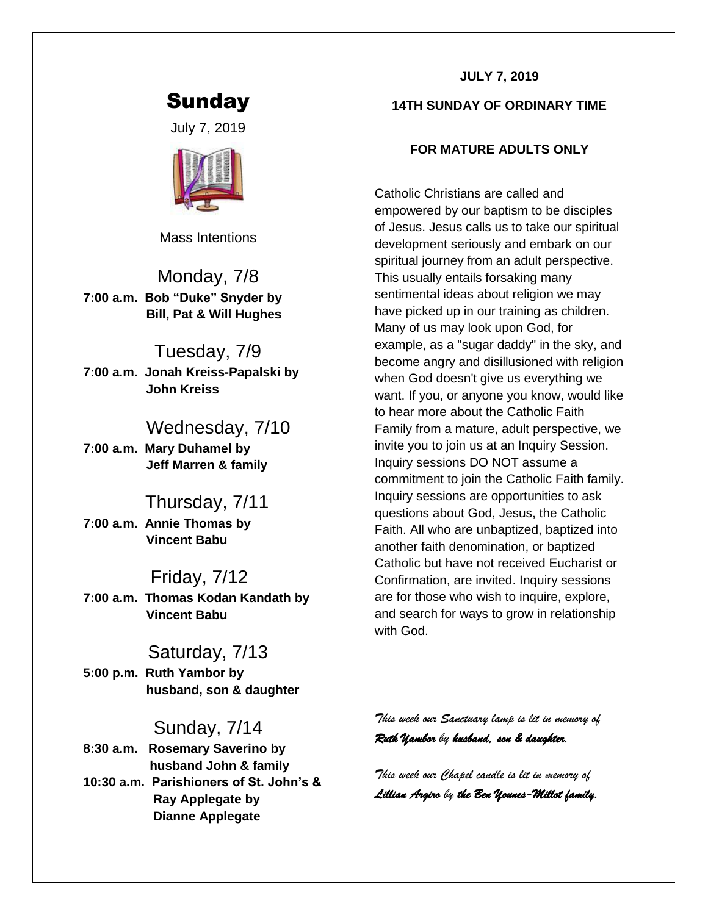# Sunday

July 7, 2019



Mass Intentions

Monday, 7/8 **7:00 a.m. Bob "Duke" Snyder by Bill, Pat & Will Hughes**

## Tuesday, 7/9

**7:00 a.m. Jonah Kreiss-Papalski by John Kreiss**

## Wednesday, 7/10

**7:00 a.m. Mary Duhamel by Jeff Marren & family**

## Thursday, 7/11

**7:00 a.m. Annie Thomas by Vincent Babu**

### Friday, 7/12

**7:00 a.m. Thomas Kodan Kandath by Vincent Babu**

## Saturday, 7/13

**5:00 p.m. Ruth Yambor by husband, son & daughter**

## Sunday, 7/14

**8:30 a.m. Rosemary Saverino by husband John & family 10:30 a.m. Parishioners of St. John's & Ray Applegate by Dianne Applegate**

#### **JULY 7, 2019**

#### **14TH SUNDAY OF ORDINARY TIME**

#### **FOR MATURE ADULTS ONLY**

Catholic Christians are called and empowered by our baptism to be disciples of Jesus. Jesus calls us to take our spiritual development seriously and embark on our spiritual journey from an adult perspective. This usually entails forsaking many sentimental ideas about religion we may have picked up in our training as children. Many of us may look upon God, for example, as a "sugar daddy" in the sky, and become angry and disillusioned with religion when God doesn't give us everything we want. If you, or anyone you know, would like to hear more about the Catholic Faith Family from a mature, adult perspective, we invite you to join us at an Inquiry Session. Inquiry sessions DO NOT assume a commitment to join the Catholic Faith family. Inquiry sessions are opportunities to ask questions about God, Jesus, the Catholic Faith. All who are unbaptized, baptized into another faith denomination, or baptized Catholic but have not received Eucharist or Confirmation, are invited. Inquiry sessions are for those who wish to inquire, explore, and search for ways to grow in relationship with God.

*This week our Sanctuary lamp is lit in memory of Ruth Yambor by husband, son & daughter.* 

*This week our Chapel candle is lit in memory of Lillian Argiro by the Ben Younes-Millot family.*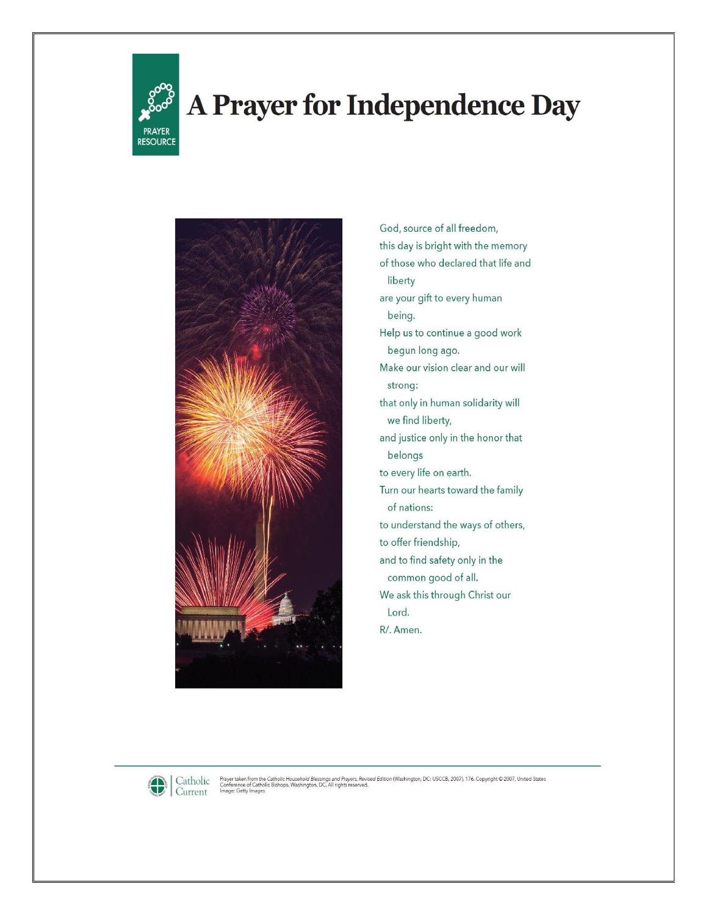

# A Prayer for Independence Day



God, source of all freedom, this day is bright with the memory of those who declared that life and liberty are your gift to every human being. Help us to continue a good work begun long ago. Make our vision clear and our will strong: that only in human solidarity will we find liberty, and justice only in the honor that belongs to every life on earth. Turn our hearts toward the family of nations: to understand the ways of others, to offer friendship, and to find safety only in the common good of all. We ask this through Christ our Lord. R/. Amen.



Prayer taken from the Catholic Household Blessings and Prayers, Revised Edition (Washington, DC: USCCB, 2007), 176. Copyright © 2007, United States<br>Conference of Catholic Bishops, Washington, DC. All rights reserved.<br>Image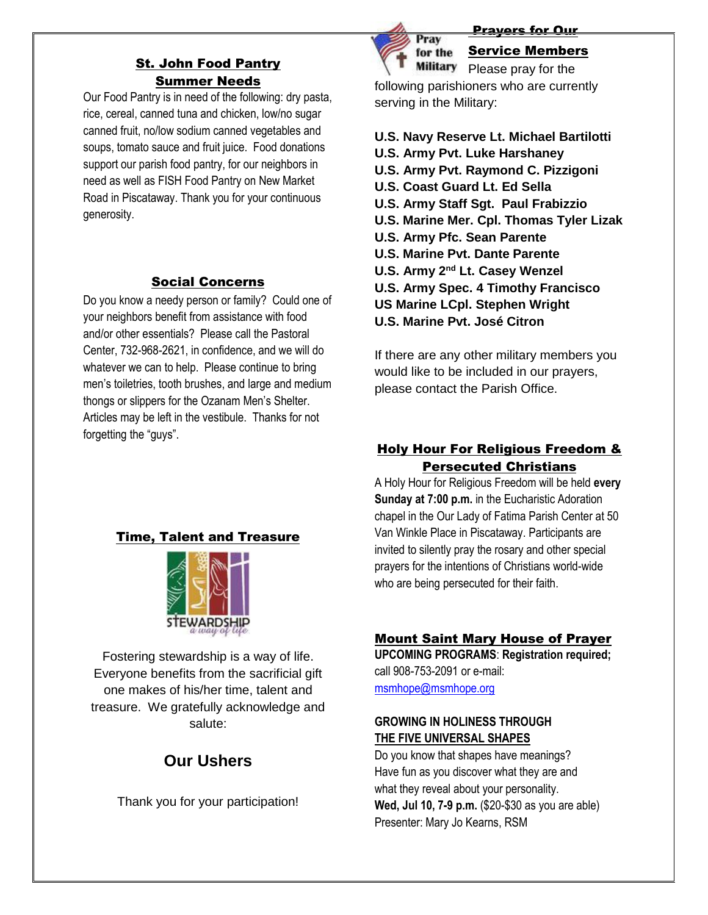## St. John Food Pantry Summer Needs

Our Food Pantry is in need of the following: dry pasta, rice, cereal, canned tuna and chicken, low/no sugar canned fruit, no/low sodium canned vegetables and soups, tomato sauce and fruit juice. Food donations support our parish food pantry, for our neighbors in need as well as FISH Food Pantry on New Market Road in Piscataway. Thank you for your continuous generosity.

#### Social Concerns

Do you know a needy person or family? Could one of your neighbors benefit from assistance with food and/or other essentials? Please call the Pastoral Center, 732-968-2621, in confidence, and we will do whatever we can to help. Please continue to bring men's toiletries, tooth brushes, and large and medium thongs or slippers for the Ozanam Men's Shelter. Articles may be left in the vestibule. Thanks for not forgetting the "guys".



#### Prayers for Our

### Service Members

Military Please pray for the following parishioners who are currently serving in the Military:

- **U.S. Navy Reserve Lt. Michael Bartilotti**
- **U.S. Army Pvt. Luke Harshaney**
- **U.S. Army Pvt. Raymond C. Pizzigoni**
- **U.S. Coast Guard Lt. Ed Sella**
- **U.S. Army Staff Sgt. Paul Frabizzio**
- **U.S. Marine Mer. Cpl. Thomas Tyler Lizak**
- **U.S. Army Pfc. Sean Parente**
- **U.S. Marine Pvt. Dante Parente**
- **U.S. Army 2<sup>nd</sup> Lt. Casey Wenzel**
- **U.S. Army Spec. 4 Timothy Francisco**
- **US Marine LCpl. Stephen Wright**
- **U.S. Marine Pvt. José Citron**

If there are any other military members you would like to be included in our prayers, please contact the Parish Office.

## Holy Hour For Religious Freedom & Persecuted Christians

A Holy Hour for Religious Freedom will be held **every Sunday at 7:00 p.m.** in the Eucharistic Adoration chapel in the Our Lady of Fatima Parish Center at 50 Van Winkle Place in Piscataway. Participants are invited to silently pray the rosary and other special prayers for the intentions of Christians world-wide who are being persecuted for their faith.

## Time, Talent and Treasure



Fostering stewardship is a way of life. Everyone benefits from the sacrificial gift one makes of his/her time, talent and treasure. We gratefully acknowledge and salute:

# **Our Ushers**

Thank you for your participation!

#### Mount Saint Mary House of Prayer

**UPCOMING PROGRAMS**: **Registration required;** call 908-753-2091 or e-mail: [msmhope@msmhope.org](mailto:msmhope@msmhope.org)

#### **GROWING IN HOLINESS THROUGH THE FIVE UNIVERSAL SHAPES**

Do you know that shapes have meanings? Have fun as you discover what they are and what they reveal about your personality. **Wed, Jul 10, 7-9 p.m.** (\$20-\$30 as you are able) Presenter: Mary Jo Kearns, RSM